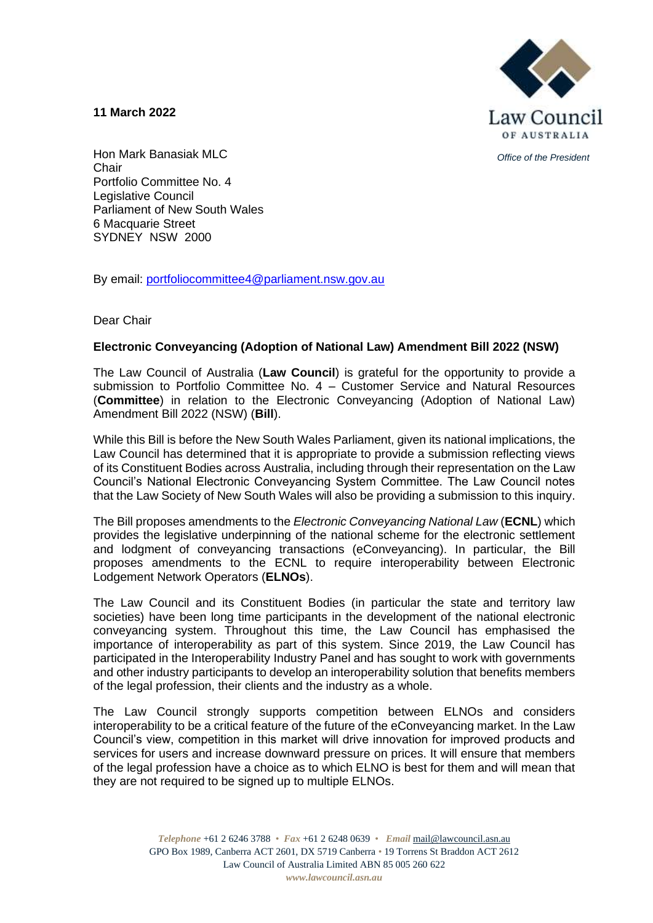**11 March 2022**



*Office of the President*

Hon Mark Banasiak MLC **Chair** Portfolio Committee No. 4 Legislative Council Parliament of New South Wales 6 Macquarie Street SYDNEY NSW 2000

By email: [portfoliocommittee4@parliament.nsw.gov.au](mailto:portfoliocommittee4@parliament.nsw.gov.au)

Dear Chair

#### **Electronic Conveyancing (Adoption of National Law) Amendment Bill 2022 (NSW)**

The Law Council of Australia (**Law Council**) is grateful for the opportunity to provide a submission to Portfolio Committee No. 4 – Customer Service and Natural Resources (**Committee**) in relation to the Electronic Conveyancing (Adoption of National Law) Amendment Bill 2022 (NSW) (**Bill**).

While this Bill is before the New South Wales Parliament, given its national implications, the Law Council has determined that it is appropriate to provide a submission reflecting views of its Constituent Bodies across Australia, including through their representation on the Law Council's National Electronic Conveyancing System Committee. The Law Council notes that the Law Society of New South Wales will also be providing a submission to this inquiry.

The Bill proposes amendments to the *Electronic Conveyancing National Law* (**ECNL**) which provides the legislative underpinning of the national scheme for the electronic settlement and lodgment of conveyancing transactions (eConveyancing). In particular, the Bill proposes amendments to the ECNL to require interoperability between Electronic Lodgement Network Operators (**ELNOs**).

The Law Council and its Constituent Bodies (in particular the state and territory law societies) have been long time participants in the development of the national electronic conveyancing system. Throughout this time, the Law Council has emphasised the importance of interoperability as part of this system. Since 2019, the Law Council has participated in the Interoperability Industry Panel and has sought to work with governments and other industry participants to develop an interoperability solution that benefits members of the legal profession, their clients and the industry as a whole.

The Law Council strongly supports competition between ELNOs and considers interoperability to be a critical feature of the future of the eConveyancing market. In the Law Council's view, competition in this market will drive innovation for improved products and services for users and increase downward pressure on prices. It will ensure that members of the legal profession have a choice as to which ELNO is best for them and will mean that they are not required to be signed up to multiple ELNOs.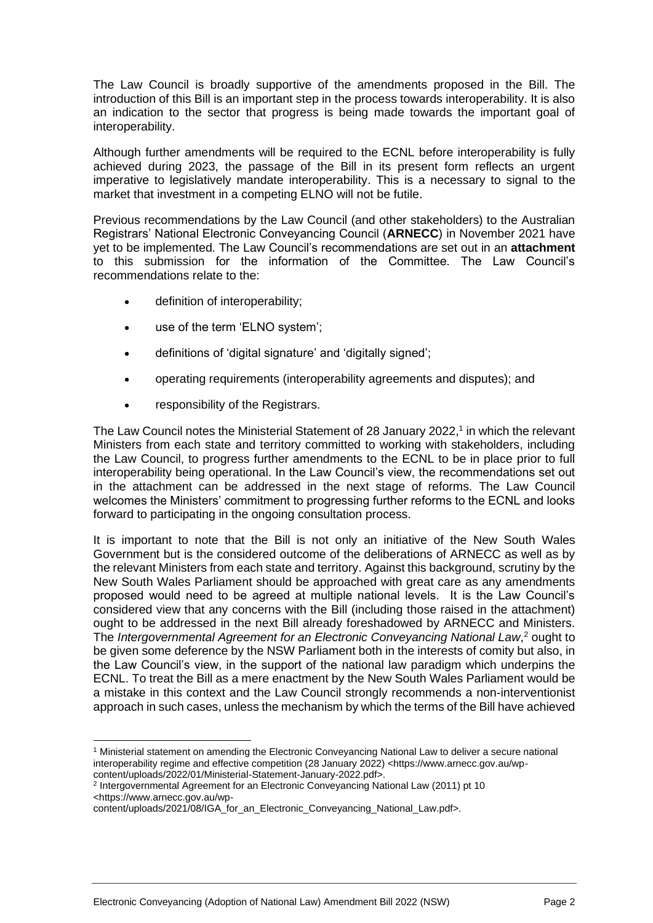The Law Council is broadly supportive of the amendments proposed in the Bill. The introduction of this Bill is an important step in the process towards interoperability. It is also an indication to the sector that progress is being made towards the important goal of interoperability.

Although further amendments will be required to the ECNL before interoperability is fully achieved during 2023, the passage of the Bill in its present form reflects an urgent imperative to legislatively mandate interoperability. This is a necessary to signal to the market that investment in a competing ELNO will not be futile.

Previous recommendations by the Law Council (and other stakeholders) to the Australian Registrars' National Electronic Conveyancing Council (**ARNECC**) in November 2021 have yet to be implemented. The Law Council's recommendations are set out in an **attachment** to this submission for the information of the Committee. The Law Council's recommendations relate to the:

- definition of interoperability;
- use of the term 'ELNO system';
- definitions of 'digital signature' and 'digitally signed';
- operating requirements (interoperability agreements and disputes); and
- responsibility of the Registrars.

The Law Council notes the Ministerial Statement of 28 January 2022, 1 in which the relevant Ministers from each state and territory committed to working with stakeholders, including the Law Council, to progress further amendments to the ECNL to be in place prior to full interoperability being operational. In the Law Council's view, the recommendations set out in the attachment can be addressed in the next stage of reforms. The Law Council welcomes the Ministers' commitment to progressing further reforms to the ECNL and looks forward to participating in the ongoing consultation process.

It is important to note that the Bill is not only an initiative of the New South Wales Government but is the considered outcome of the deliberations of ARNECC as well as by the relevant Ministers from each state and territory. Against this background, scrutiny by the New South Wales Parliament should be approached with great care as any amendments proposed would need to be agreed at multiple national levels. It is the Law Council's considered view that any concerns with the Bill (including those raised in the attachment) ought to be addressed in the next Bill already foreshadowed by ARNECC and Ministers. The *Intergovernmental Agreement for an Electronic Conveyancing National Law*, <sup>2</sup> ought to be given some deference by the NSW Parliament both in the interests of comity but also, in the Law Council's view, in the support of the national law paradigm which underpins the ECNL. To treat the Bill as a mere enactment by the New South Wales Parliament would be a mistake in this context and the Law Council strongly recommends a non-interventionist approach in such cases, unless the mechanism by which the terms of the Bill have achieved

<sup>1</sup> Ministerial statement on amending the Electronic Conveyancing National Law to deliver a secure national interoperability regime and effective competition (28 January 2022) <https://www.arnecc.gov.au/wp-

content/uploads/2022/01/Ministerial-Statement-January-2022.pdf>.

<sup>2</sup> Intergovernmental Agreement for an Electronic Conveyancing National Law (2011) pt 10 <https://www.arnecc.gov.au/wp-

content/uploads/2021/08/IGA\_for\_an\_Electronic\_Conveyancing\_National\_Law.pdf>.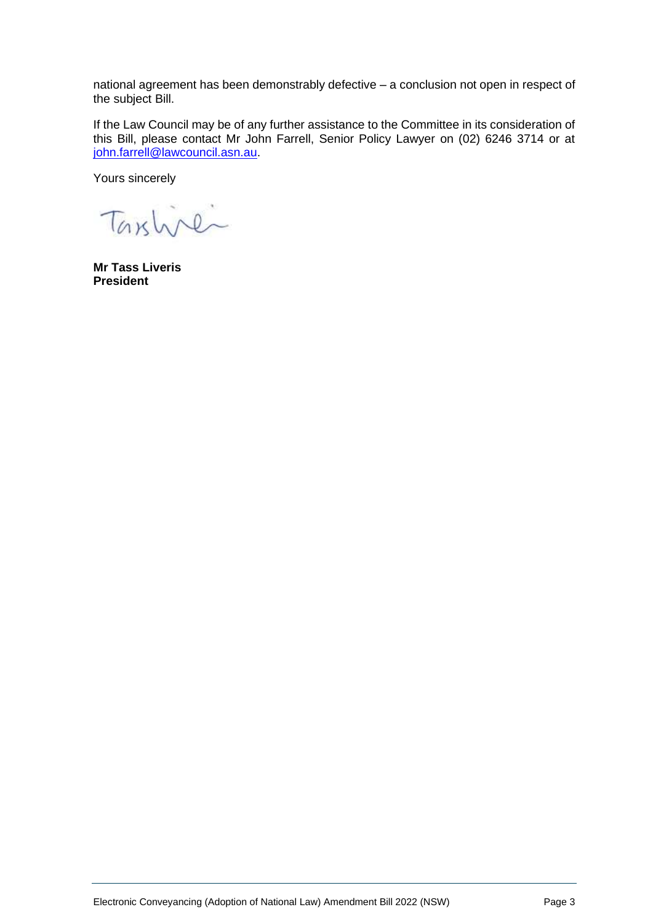national agreement has been demonstrably defective – a conclusion not open in respect of the subject Bill.

If the Law Council may be of any further assistance to the Committee in its consideration of this Bill, please contact Mr John Farrell, Senior Policy Lawyer on (02) 6246 3714 or at [john.farrell@lawcouncil.asn.au.](mailto:john.farrell@lawcouncil.asn.au)

Yours sincerely

Taxline

**Mr Tass Liveris President**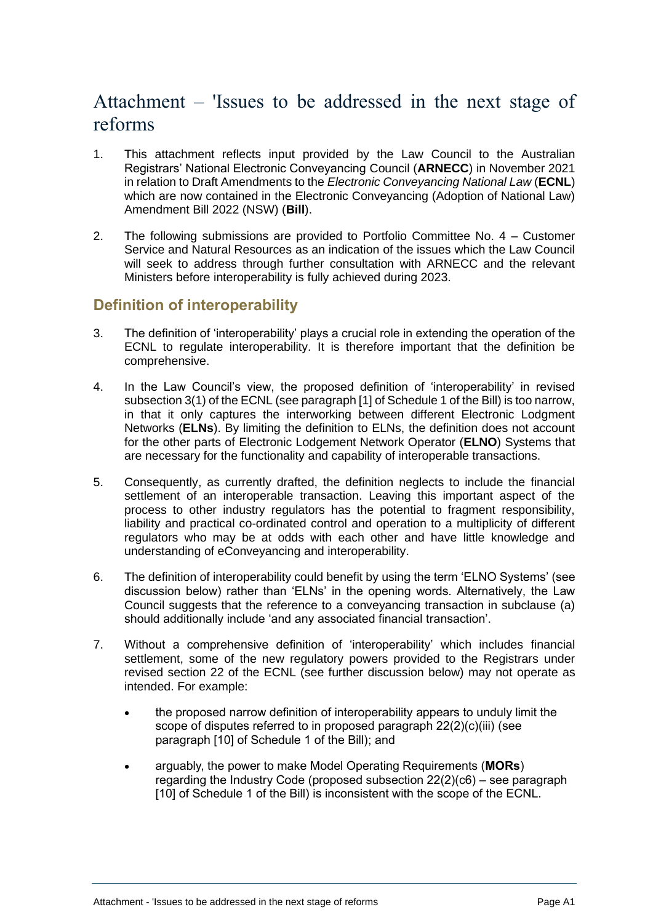# Attachment – 'Issues to be addressed in the next stage of reforms

- 1. This attachment reflects input provided by the Law Council to the Australian Registrars' National Electronic Conveyancing Council (**ARNECC**) in November 2021 in relation to Draft Amendments to the *Electronic Conveyancing National Law* (**ECNL**) which are now contained in the Electronic Conveyancing (Adoption of National Law) Amendment Bill 2022 (NSW) (**Bill**).
- 2. The following submissions are provided to Portfolio Committee No. 4 Customer Service and Natural Resources as an indication of the issues which the Law Council will seek to address through further consultation with ARNECC and the relevant Ministers before interoperability is fully achieved during 2023.

## **Definition of interoperability**

- 3. The definition of 'interoperability' plays a crucial role in extending the operation of the ECNL to regulate interoperability. It is therefore important that the definition be comprehensive.
- 4. In the Law Council's view, the proposed definition of 'interoperability' in revised subsection 3(1) of the ECNL (see paragraph [1] of Schedule 1 of the Bill) is too narrow, in that it only captures the interworking between different Electronic Lodgment Networks (**ELNs**). By limiting the definition to ELNs, the definition does not account for the other parts of Electronic Lodgement Network Operator (**ELNO**) Systems that are necessary for the functionality and capability of interoperable transactions.
- 5. Consequently, as currently drafted, the definition neglects to include the financial settlement of an interoperable transaction. Leaving this important aspect of the process to other industry regulators has the potential to fragment responsibility, liability and practical co-ordinated control and operation to a multiplicity of different regulators who may be at odds with each other and have little knowledge and understanding of eConveyancing and interoperability.
- 6. The definition of interoperability could benefit by using the term 'ELNO Systems' (see discussion below) rather than 'ELNs' in the opening words. Alternatively, the Law Council suggests that the reference to a conveyancing transaction in subclause (a) should additionally include 'and any associated financial transaction'.
- 7. Without a comprehensive definition of 'interoperability' which includes financial settlement, some of the new regulatory powers provided to the Registrars under revised section 22 of the ECNL (see further discussion below) may not operate as intended. For example:
	- the proposed narrow definition of interoperability appears to unduly limit the scope of disputes referred to in proposed paragraph 22(2)(c)(iii) (see paragraph [10] of Schedule 1 of the Bill); and
	- arguably, the power to make Model Operating Requirements (**MORs**) regarding the Industry Code (proposed subsection 22(2)(c6) – see paragraph [10] of Schedule 1 of the Bill) is inconsistent with the scope of the ECNL.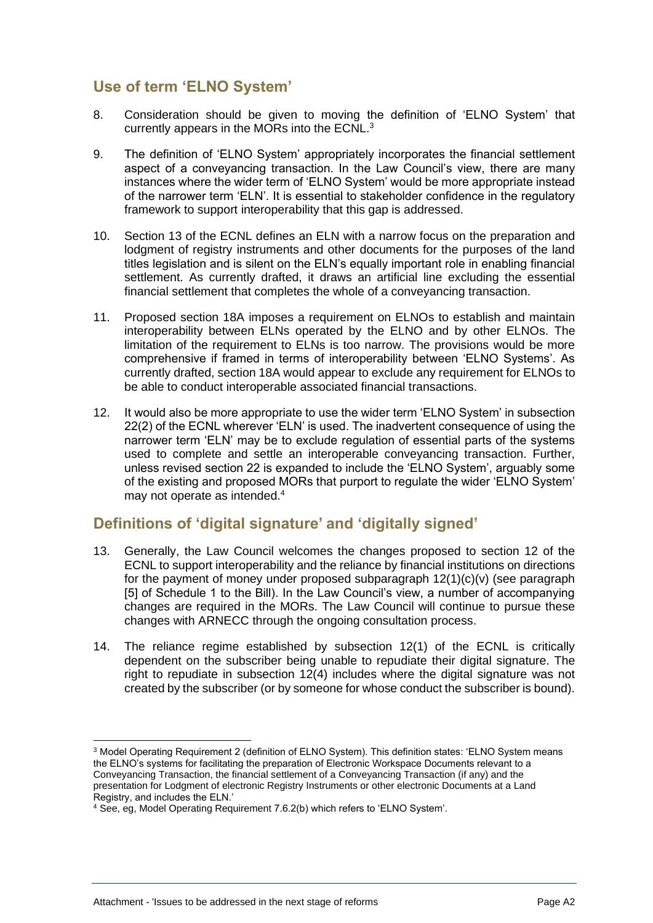# **Use of term 'ELNO System'**

- 8. Consideration should be given to moving the definition of 'ELNO System' that currently appears in the MORs into the ECNL.<sup>3</sup>
- 9. The definition of 'ELNO System' appropriately incorporates the financial settlement aspect of a conveyancing transaction. In the Law Council's view, there are many instances where the wider term of 'ELNO System' would be more appropriate instead of the narrower term 'ELN'. It is essential to stakeholder confidence in the regulatory framework to support interoperability that this gap is addressed.
- 10. Section 13 of the ECNL defines an ELN with a narrow focus on the preparation and lodgment of registry instruments and other documents for the purposes of the land titles legislation and is silent on the ELN's equally important role in enabling financial settlement. As currently drafted, it draws an artificial line excluding the essential financial settlement that completes the whole of a conveyancing transaction.
- 11. Proposed section 18A imposes a requirement on ELNOs to establish and maintain interoperability between ELNs operated by the ELNO and by other ELNOs. The limitation of the requirement to ELNs is too narrow. The provisions would be more comprehensive if framed in terms of interoperability between 'ELNO Systems'. As currently drafted, section 18A would appear to exclude any requirement for ELNOs to be able to conduct interoperable associated financial transactions.
- 12. It would also be more appropriate to use the wider term 'ELNO System' in subsection 22(2) of the ECNL wherever 'ELN' is used. The inadvertent consequence of using the narrower term 'ELN' may be to exclude regulation of essential parts of the systems used to complete and settle an interoperable conveyancing transaction. Further, unless revised section 22 is expanded to include the 'ELNO System', arguably some of the existing and proposed MORs that purport to regulate the wider 'ELNO System' may not operate as intended.<sup>4</sup>

# **Definitions of 'digital signature' and 'digitally signed'**

- 13. Generally, the Law Council welcomes the changes proposed to section 12 of the ECNL to support interoperability and the reliance by financial institutions on directions for the payment of money under proposed subparagraph  $12(1)(c)(v)$  (see paragraph [5] of Schedule 1 to the Bill). In the Law Council's view, a number of accompanying changes are required in the MORs. The Law Council will continue to pursue these changes with ARNECC through the ongoing consultation process.
- 14. The reliance regime established by subsection 12(1) of the ECNL is critically dependent on the subscriber being unable to repudiate their digital signature. The right to repudiate in subsection 12(4) includes where the digital signature was not created by the subscriber (or by someone for whose conduct the subscriber is bound).

<sup>3</sup> Model Operating Requirement 2 (definition of ELNO System). This definition states: 'ELNO System means the ELNO's systems for facilitating the preparation of Electronic Workspace Documents relevant to a Conveyancing Transaction, the financial settlement of a Conveyancing Transaction (if any) and the presentation for Lodgment of electronic Registry Instruments or other electronic Documents at a Land .<br>Registry, and includes the ELN.'

<sup>4</sup> See, eg, Model Operating Requirement 7.6.2(b) which refers to 'ELNO System'.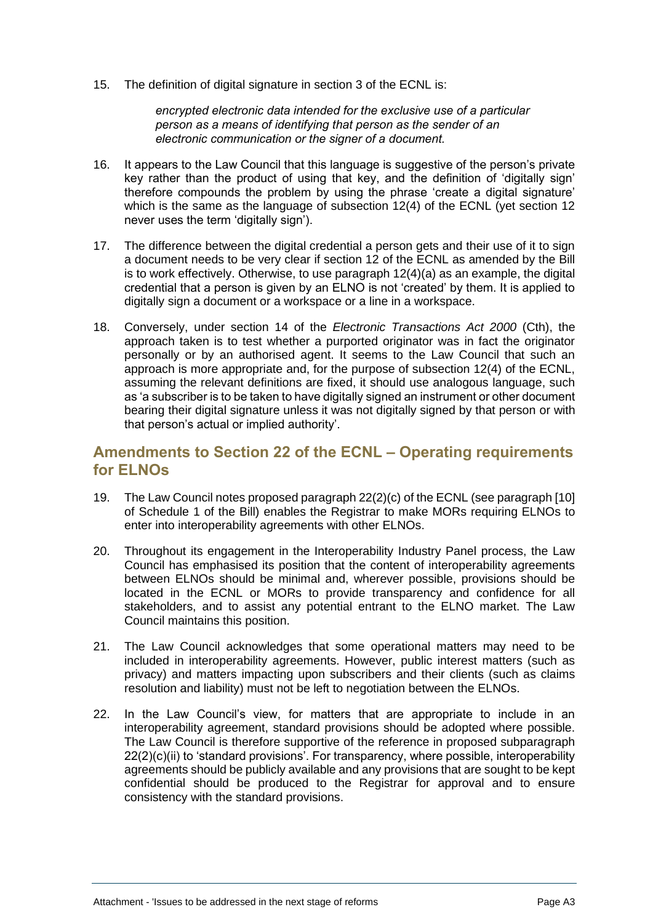15. The definition of digital signature in section 3 of the ECNL is:

*encrypted electronic data intended for the exclusive use of a particular person as a means of identifying that person as the sender of an electronic communication or the signer of a document.* 

- 16. It appears to the Law Council that this language is suggestive of the person's private key rather than the product of using that key, and the definition of 'digitally sign' therefore compounds the problem by using the phrase 'create a digital signature' which is the same as the language of subsection 12(4) of the ECNL (yet section 12 never uses the term 'digitally sign').
- 17. The difference between the digital credential a person gets and their use of it to sign a document needs to be very clear if section 12 of the ECNL as amended by the Bill is to work effectively. Otherwise, to use paragraph 12(4)(a) as an example, the digital credential that a person is given by an ELNO is not 'created' by them. It is applied to digitally sign a document or a workspace or a line in a workspace.
- 18. Conversely, under section 14 of the *Electronic Transactions Act 2000* (Cth), the approach taken is to test whether a purported originator was in fact the originator personally or by an authorised agent. It seems to the Law Council that such an approach is more appropriate and, for the purpose of subsection 12(4) of the ECNL, assuming the relevant definitions are fixed, it should use analogous language, such as 'a subscriber is to be taken to have digitally signed an instrument or other document bearing their digital signature unless it was not digitally signed by that person or with that person's actual or implied authority'.

## **Amendments to Section 22 of the ECNL – Operating requirements for ELNOs**

- 19. The Law Council notes proposed paragraph 22(2)(c) of the ECNL (see paragraph [10] of Schedule 1 of the Bill) enables the Registrar to make MORs requiring ELNOs to enter into interoperability agreements with other ELNOs.
- 20. Throughout its engagement in the Interoperability Industry Panel process, the Law Council has emphasised its position that the content of interoperability agreements between ELNOs should be minimal and, wherever possible, provisions should be located in the ECNL or MORs to provide transparency and confidence for all stakeholders, and to assist any potential entrant to the ELNO market. The Law Council maintains this position.
- 21. The Law Council acknowledges that some operational matters may need to be included in interoperability agreements. However, public interest matters (such as privacy) and matters impacting upon subscribers and their clients (such as claims resolution and liability) must not be left to negotiation between the ELNOs.
- 22. In the Law Council's view, for matters that are appropriate to include in an interoperability agreement, standard provisions should be adopted where possible. The Law Council is therefore supportive of the reference in proposed subparagraph 22(2)(c)(ii) to 'standard provisions'. For transparency, where possible, interoperability agreements should be publicly available and any provisions that are sought to be kept confidential should be produced to the Registrar for approval and to ensure consistency with the standard provisions.